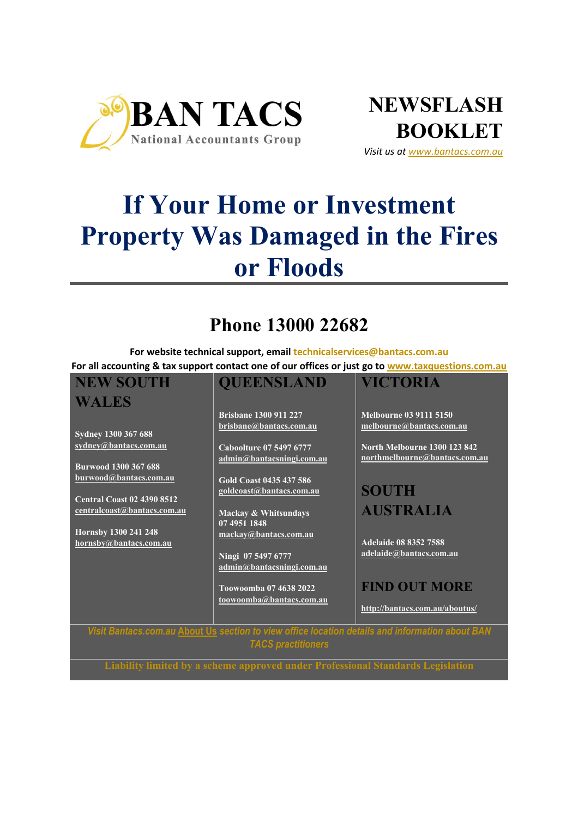



*Visit us at www.bantacs.com.au*

# **If Your Home or Investment Property Was Damaged in the Fires or Floods**

## **Phone 13000 22682**

**For website technical support, email technicalservices@bantacs.com.au For all accounting & tax support contact one of our offices or just go to www.taxquestions.com.au**

#### **NEW SOUTH WALES Sydney 1300 367 688 sydney@bantacs.com.au Burwood 1300 367 688 burwood@bantacs.com.au Central Coast 02 4390 8512 centralcoast@bantacs.com.au Hornsby 1300 241 248 hornsby@bantacs.com.au QUEENSLAND Brisbane 1300 911 227 brisbane@bantacs.com.au Caboolture 07 5497 6777 admin@bantacsningi.com.au Gold Coast 0435 437 586 goldcoast@bantacs.com.au Mackay & Whitsundays 07 4951 1848 mackay@bantacs.com.au Ningi 07 5497 6777 admin@bantacsningi.com.au Toowoomba 07 4638 2022 toowoomba@bantacs.com.au VICTORIA Melbourne 03 9111 5150 melbourne@bantacs.com.au North Melbourne 1300 123 842 northmelbourne@bantacs.com.au SOUTH AUSTRALIA Adelaide 08 8352 7588 adelaide@bantacs.com.au FIND OUT MORE http://bantacs.com.au/aboutus/** *Visit Bantacs.com.au* **About Us** *section to view office location details and information about BAN*

*TACS practitioners*

**Liability limited by a scheme approved under Professional Standards Legislation**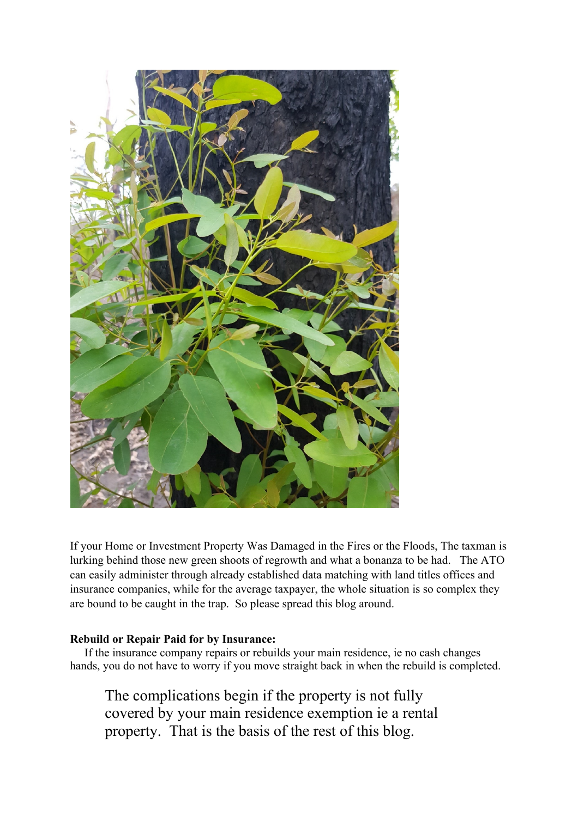

If your Home or Investment Property Was Damaged in the Fires or the Floods, The taxman is lurking behind those new green shoots of regrowth and what a bonanza to be had. The ATO can easily administer through already established data matching with land titles offices and insurance companies, while for the average taxpayer, the whole situation is so complex they are bound to be caught in the trap. So please spread this blog around.

### **Rebuild or Repair Paid for by Insurance:**

 If the insurance company repairs or rebuilds your main residence, ie no cash changes hands, you do not have to worry if you move straight back in when the rebuild is completed.

The complications begin if the property is not fully covered by your main residence exemption ie a rental property. That is the basis of the rest of this blog.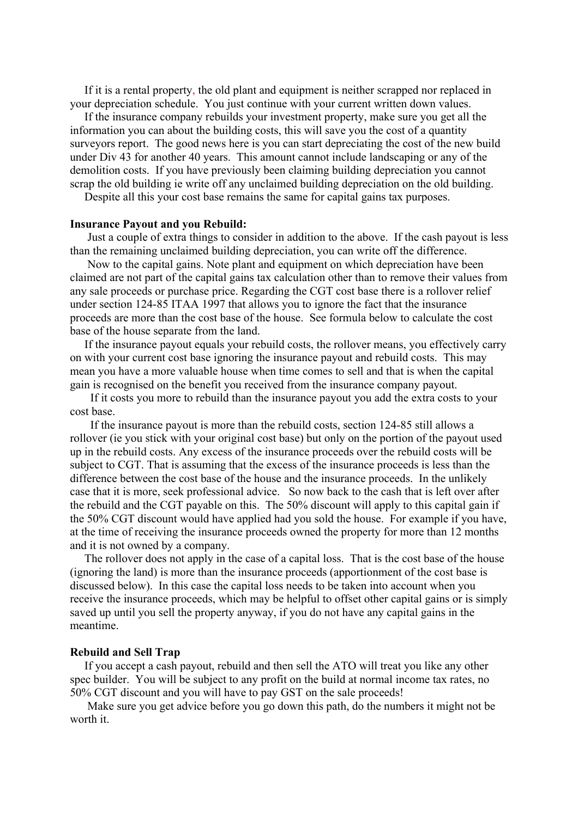If it is a rental property, the old plant and equipment is neither scrapped nor replaced in your depreciation schedule. You just continue with your current written down values.

 If the insurance company rebuilds your investment property, make sure you get all the information you can about the building costs, this will save you the cost of a quantity surveyors report. The good news here is you can start depreciating the cost of the new build under Div 43 for another 40 years. This amount cannot include landscaping or any of the demolition costs. If you have previously been claiming building depreciation you cannot scrap the old building ie write off any unclaimed building depreciation on the old building.

Despite all this your cost base remains the same for capital gains tax purposes.

#### **Insurance Payout and you Rebuild:**

 Just a couple of extra things to consider in addition to the above. If the cash payout is less than the remaining unclaimed building depreciation, you can write off the difference.

 Now to the capital gains. Note plant and equipment on which depreciation have been claimed are not part of the capital gains tax calculation other than to remove their values from any sale proceeds or purchase price. Regarding the CGT cost base there is a rollover relief under section 124-85 ITAA 1997 that allows you to ignore the fact that the insurance proceeds are more than the cost base of the house. See formula below to calculate the cost base of the house separate from the land.

 If the insurance payout equals your rebuild costs, the rollover means, you effectively carry on with your current cost base ignoring the insurance payout and rebuild costs. This may mean you have a more valuable house when time comes to sell and that is when the capital gain is recognised on the benefit you received from the insurance company payout.

 If it costs you more to rebuild than the insurance payout you add the extra costs to your cost base.

 If the insurance payout is more than the rebuild costs, section 124-85 still allows a rollover (ie you stick with your original cost base) but only on the portion of the payout used up in the rebuild costs. Any excess of the insurance proceeds over the rebuild costs will be subject to CGT. That is assuming that the excess of the insurance proceeds is less than the difference between the cost base of the house and the insurance proceeds. In the unlikely case that it is more, seek professional advice. So now back to the cash that is left over after the rebuild and the CGT payable on this. The 50% discount will apply to this capital gain if the 50% CGT discount would have applied had you sold the house. For example if you have, at the time of receiving the insurance proceeds owned the property for more than 12 months and it is not owned by a company.

 The rollover does not apply in the case of a capital loss. That is the cost base of the house (ignoring the land) is more than the insurance proceeds (apportionment of the cost base is discussed below). In this case the capital loss needs to be taken into account when you receive the insurance proceeds, which may be helpful to offset other capital gains or is simply saved up until you sell the property anyway, if you do not have any capital gains in the meantime.

#### **Rebuild and Sell Trap**

 If you accept a cash payout, rebuild and then sell the ATO will treat you like any other spec builder. You will be subject to any profit on the build at normal income tax rates, no 50% CGT discount and you will have to pay GST on the sale proceeds!

 Make sure you get advice before you go down this path, do the numbers it might not be worth it.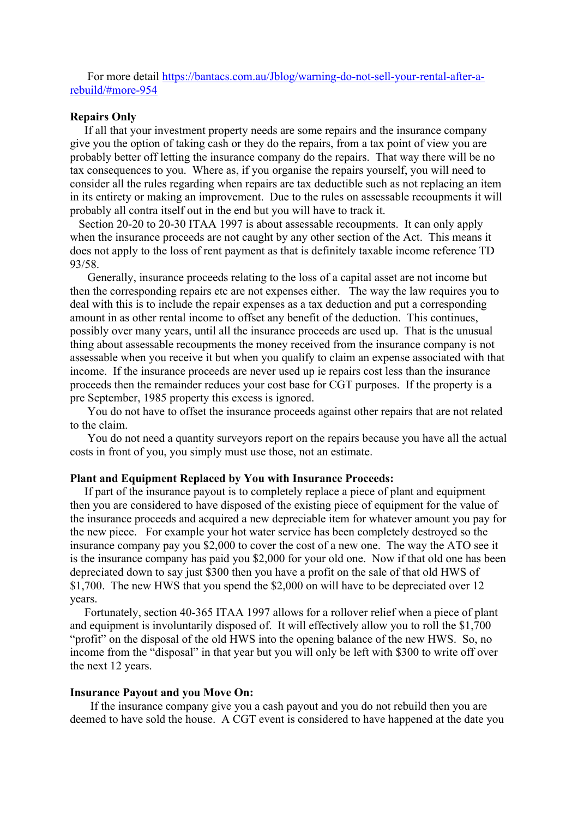For more detail https://bantacs.com.au/Jblog/warning-do-not-sell-your-rental-after-arebuild/#more-954

#### **Repairs Only**

 If all that your investment property needs are some repairs and the insurance company give you the option of taking cash or they do the repairs, from a tax point of view you are probably better off letting the insurance company do the repairs. That way there will be no tax consequences to you. Where as, if you organise the repairs yourself, you will need to consider all the rules regarding when repairs are tax deductible such as not replacing an item in its entirety or making an improvement. Due to the rules on assessable recoupments it will probably all contra itself out in the end but you will have to track it.

 Section 20-20 to 20-30 ITAA 1997 is about assessable recoupments. It can only apply when the insurance proceeds are not caught by any other section of the Act. This means it does not apply to the loss of rent payment as that is definitely taxable income reference TD 93/58.

 Generally, insurance proceeds relating to the loss of a capital asset are not income but then the corresponding repairs etc are not expenses either. The way the law requires you to deal with this is to include the repair expenses as a tax deduction and put a corresponding amount in as other rental income to offset any benefit of the deduction. This continues, possibly over many years, until all the insurance proceeds are used up. That is the unusual thing about assessable recoupments the money received from the insurance company is not assessable when you receive it but when you qualify to claim an expense associated with that income. If the insurance proceeds are never used up ie repairs cost less than the insurance proceeds then the remainder reduces your cost base for CGT purposes. If the property is a pre September, 1985 property this excess is ignored.

 You do not have to offset the insurance proceeds against other repairs that are not related to the claim.

 You do not need a quantity surveyors report on the repairs because you have all the actual costs in front of you, you simply must use those, not an estimate.

#### **Plant and Equipment Replaced by You with Insurance Proceeds:**

If part of the insurance payout is to completely replace a piece of plant and equipment then you are considered to have disposed of the existing piece of equipment for the value of the insurance proceeds and acquired a new depreciable item for whatever amount you pay for the new piece. For example your hot water service has been completely destroyed so the insurance company pay you \$2,000 to cover the cost of a new one. The way the ATO see it is the insurance company has paid you \$2,000 for your old one. Now if that old one has been depreciated down to say just \$300 then you have a profit on the sale of that old HWS of \$1,700. The new HWS that you spend the \$2,000 on will have to be depreciated over 12 years.

 Fortunately, section 40-365 ITAA 1997 allows for a rollover relief when a piece of plant and equipment is involuntarily disposed of. It will effectively allow you to roll the \$1,700 "profit" on the disposal of the old HWS into the opening balance of the new HWS. So, no income from the "disposal" in that year but you will only be left with \$300 to write off over the next 12 years.

#### **Insurance Payout and you Move On:**

 If the insurance company give you a cash payout and you do not rebuild then you are deemed to have sold the house. A CGT event is considered to have happened at the date you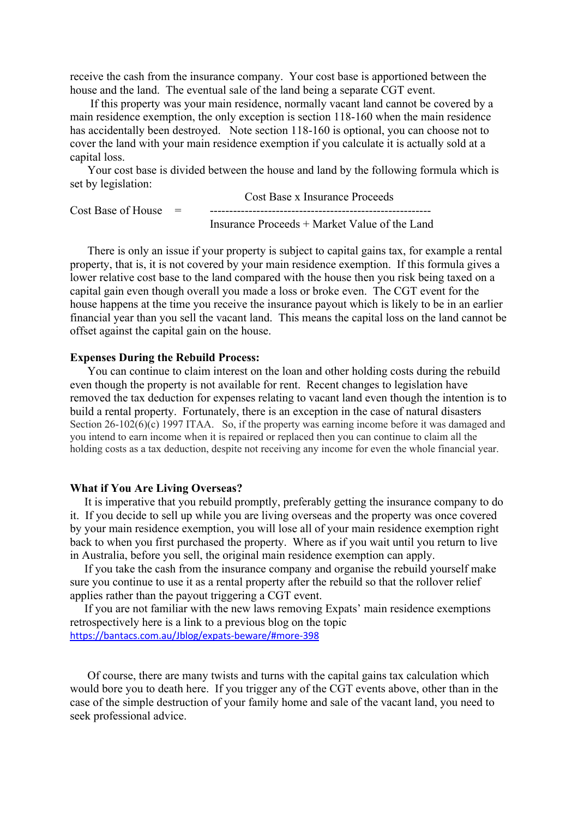receive the cash from the insurance company. Your cost base is apportioned between the house and the land. The eventual sale of the land being a separate CGT event.

 If this property was your main residence, normally vacant land cannot be covered by a main residence exemption, the only exception is section 118-160 when the main residence has accidentally been destroyed. Note section 118-160 is optional, you can choose not to cover the land with your main residence exemption if you calculate it is actually sold at a capital loss.

 Your cost base is divided between the house and land by the following formula which is set by legislation:  $C \cup D$  I

|                          | Cost Base x Insurance Proceeds                |
|--------------------------|-----------------------------------------------|
| $Cost$ Base of House $=$ |                                               |
|                          | Insurance Proceeds + Market Value of the Land |

 There is only an issue if your property is subject to capital gains tax, for example a rental property, that is, it is not covered by your main residence exemption. If this formula gives a lower relative cost base to the land compared with the house then you risk being taxed on a capital gain even though overall you made a loss or broke even. The CGT event for the house happens at the time you receive the insurance payout which is likely to be in an earlier financial year than you sell the vacant land. This means the capital loss on the land cannot be offset against the capital gain on the house.

#### **Expenses During the Rebuild Process:**

 You can continue to claim interest on the loan and other holding costs during the rebuild even though the property is not available for rent. Recent changes to legislation have removed the tax deduction for expenses relating to vacant land even though the intention is to build a rental property. Fortunately, there is an exception in the case of natural disasters Section 26-102(6)(c) 1997 ITAA. So, if the property was earning income before it was damaged and you intend to earn income when it is repaired or replaced then you can continue to claim all the holding costs as a tax deduction, despite not receiving any income for even the whole financial year.

#### **What if You Are Living Overseas?**

 It is imperative that you rebuild promptly, preferably getting the insurance company to do it. If you decide to sell up while you are living overseas and the property was once covered by your main residence exemption, you will lose all of your main residence exemption right back to when you first purchased the property. Where as if you wait until you return to live in Australia, before you sell, the original main residence exemption can apply.

 If you take the cash from the insurance company and organise the rebuild yourself make sure you continue to use it as a rental property after the rebuild so that the rollover relief applies rather than the payout triggering a CGT event.

 If you are not familiar with the new laws removing Expats' main residence exemptions retrospectively here is a link to a previous blog on the topic https://bantacs.com.au/Jblog/expats-beware/#more-398

 Of course, there are many twists and turns with the capital gains tax calculation which would bore you to death here. If you trigger any of the CGT events above, other than in the case of the simple destruction of your family home and sale of the vacant land, you need to seek professional advice.